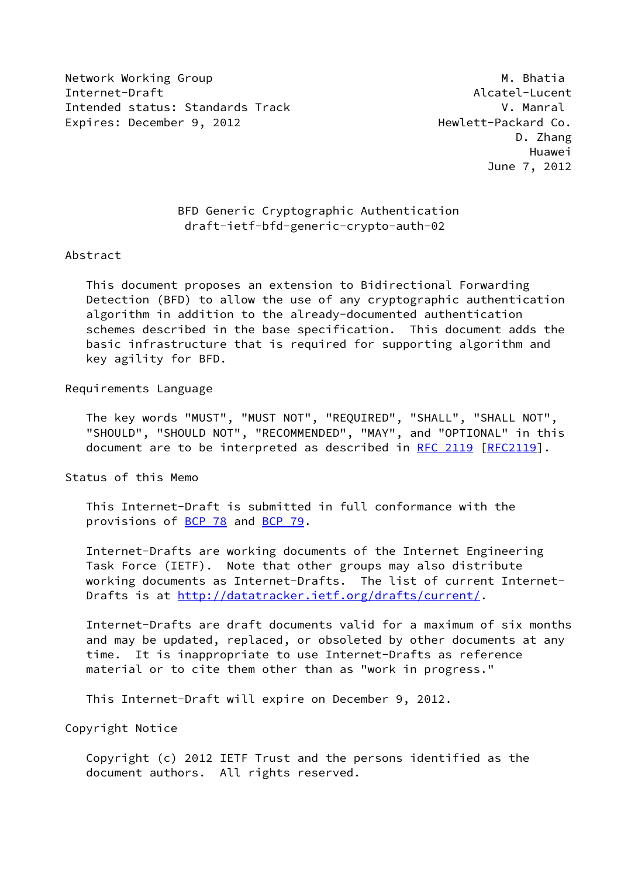Network Working Group Matches and the Matches Matches Matches Matches Matches Matches Matches Matches Matches Internet-Draft Alcatel-Lucent Intended status: Standards Track V. Manral Expires: December 9, 2012 and the Mexican Hewlett-Packard Co.

 D. Zhang Huawei June 7, 2012

## BFD Generic Cryptographic Authentication draft-ietf-bfd-generic-crypto-auth-02

### Abstract

 This document proposes an extension to Bidirectional Forwarding Detection (BFD) to allow the use of any cryptographic authentication algorithm in addition to the already-documented authentication schemes described in the base specification. This document adds the basic infrastructure that is required for supporting algorithm and key agility for BFD.

### Requirements Language

 The key words "MUST", "MUST NOT", "REQUIRED", "SHALL", "SHALL NOT", "SHOULD", "SHOULD NOT", "RECOMMENDED", "MAY", and "OPTIONAL" in this document are to be interpreted as described in [RFC 2119 \[RFC2119](https://datatracker.ietf.org/doc/pdf/rfc2119)].

Status of this Memo

 This Internet-Draft is submitted in full conformance with the provisions of [BCP 78](https://datatracker.ietf.org/doc/pdf/bcp78) and [BCP 79](https://datatracker.ietf.org/doc/pdf/bcp79).

 Internet-Drafts are working documents of the Internet Engineering Task Force (IETF). Note that other groups may also distribute working documents as Internet-Drafts. The list of current Internet- Drafts is at<http://datatracker.ietf.org/drafts/current/>.

 Internet-Drafts are draft documents valid for a maximum of six months and may be updated, replaced, or obsoleted by other documents at any time. It is inappropriate to use Internet-Drafts as reference material or to cite them other than as "work in progress."

This Internet-Draft will expire on December 9, 2012.

Copyright Notice

 Copyright (c) 2012 IETF Trust and the persons identified as the document authors. All rights reserved.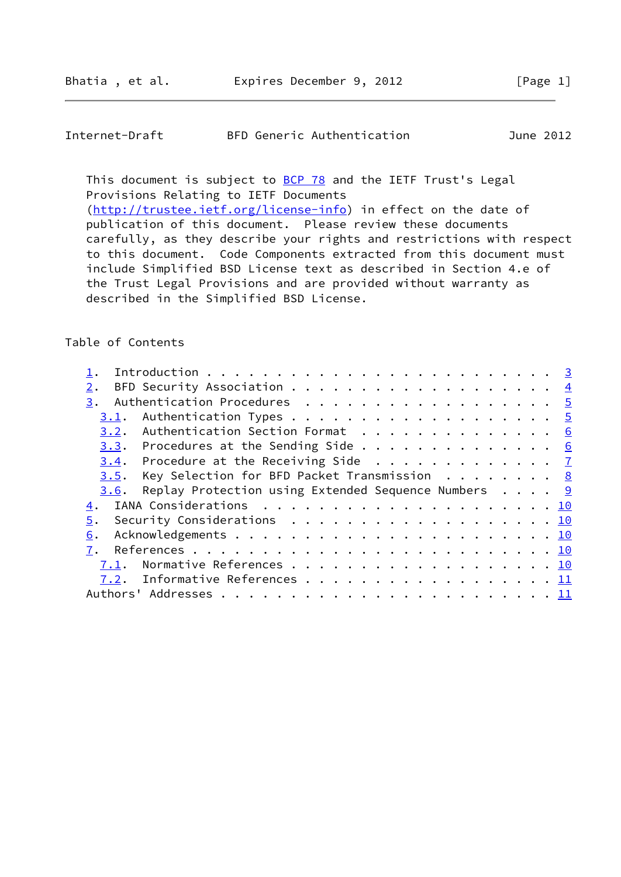# Internet-Draft BFD Generic Authentication June 2012

This document is subject to **[BCP 78](https://datatracker.ietf.org/doc/pdf/bcp78)** and the IETF Trust's Legal Provisions Relating to IETF Documents

 [\(http://trustee.ietf.org/license-info](http://trustee.ietf.org/license-info)) in effect on the date of publication of this document. Please review these documents carefully, as they describe your rights and restrictions with respect to this document. Code Components extracted from this document must include Simplified BSD License text as described in Section 4.e of the Trust Legal Provisions and are provided without warranty as described in the Simplified BSD License.

# Table of Contents

| Authentication Procedures 5<br>3.                                                |  |
|----------------------------------------------------------------------------------|--|
| 3.1.                                                                             |  |
| 3.2. Authentication Section Format 6                                             |  |
| $3.3$ . Procedures at the Sending Side 6                                         |  |
| 3.4. Procedure at the Receiving Side $\frac{7}{2}$                               |  |
| $3.5$ . Key Selection for BFD Packet Transmission 8                              |  |
| Replay Protection using Extended Sequence Numbers $\ldots$ $\frac{9}{2}$<br>3.6. |  |
| 4.                                                                               |  |
| Security Considerations 10<br>5.                                                 |  |
| 6.                                                                               |  |
|                                                                                  |  |
| 7.                                                                               |  |
| Normative References 10<br>7.1.                                                  |  |
| 7.2. Informative References 11                                                   |  |
|                                                                                  |  |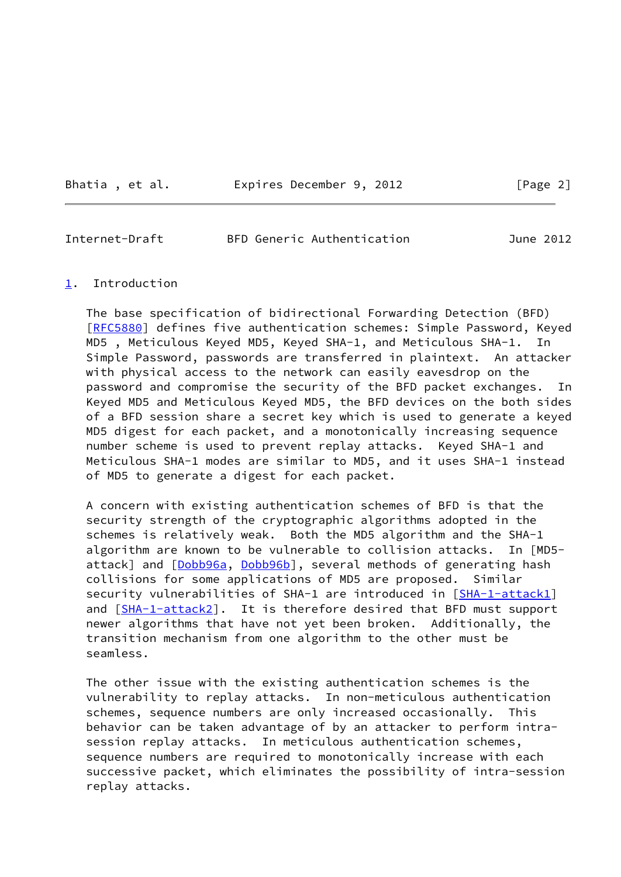Bhatia, et al. Expires December 9, 2012 [Page 2]

<span id="page-2-1"></span>Internet-Draft BFD Generic Authentication June 2012

### <span id="page-2-0"></span>[1](#page-2-0). Introduction

 The base specification of bidirectional Forwarding Detection (BFD) [\[RFC5880](https://datatracker.ietf.org/doc/pdf/rfc5880)] defines five authentication schemes: Simple Password, Keyed MD5 , Meticulous Keyed MD5, Keyed SHA-1, and Meticulous SHA-1. In Simple Password, passwords are transferred in plaintext. An attacker with physical access to the network can easily eavesdrop on the password and compromise the security of the BFD packet exchanges. In Keyed MD5 and Meticulous Keyed MD5, the BFD devices on the both sides of a BFD session share a secret key which is used to generate a keyed MD5 digest for each packet, and a monotonically increasing sequence number scheme is used to prevent replay attacks. Keyed SHA-1 and Meticulous SHA-1 modes are similar to MD5, and it uses SHA-1 instead of MD5 to generate a digest for each packet.

 A concern with existing authentication schemes of BFD is that the security strength of the cryptographic algorithms adopted in the schemes is relatively weak. Both the MD5 algorithm and the SHA-1 algorithm are known to be vulnerable to collision attacks. In [MD5- attack] and [\[Dobb96a](#page-11-4), [Dobb96b](#page-11-5)], several methods of generating hash collisions for some applications of MD5 are proposed. Similar security vulnerabilities of SHA-1 are introduced in [\[SHA-1-attack1](#page-12-0)] and [\[SHA-1-attack2](#page-12-1)]. It is therefore desired that BFD must support newer algorithms that have not yet been broken. Additionally, the transition mechanism from one algorithm to the other must be seamless.

 The other issue with the existing authentication schemes is the vulnerability to replay attacks. In non-meticulous authentication schemes, sequence numbers are only increased occasionally. This behavior can be taken advantage of by an attacker to perform intra session replay attacks. In meticulous authentication schemes, sequence numbers are required to monotonically increase with each successive packet, which eliminates the possibility of intra-session replay attacks.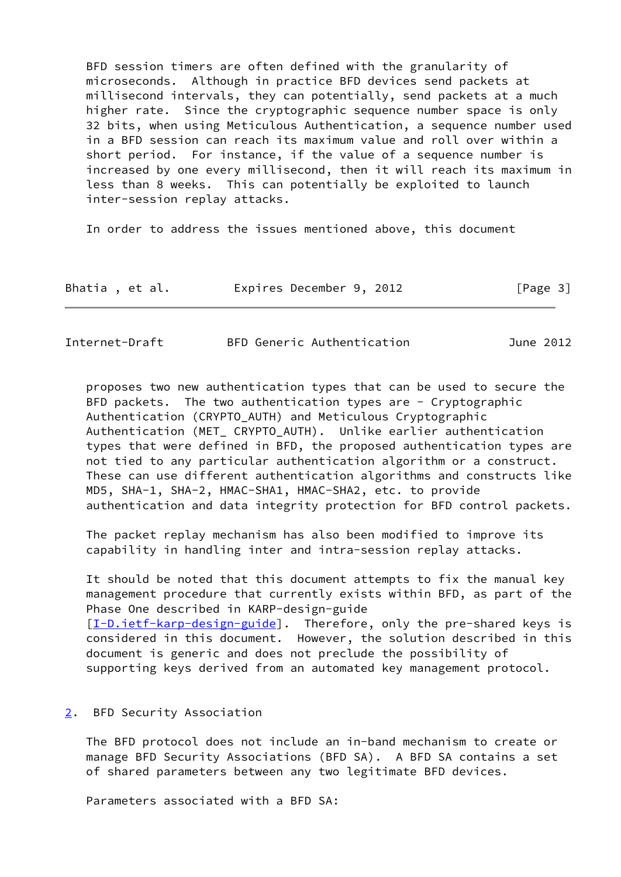BFD session timers are often defined with the granularity of microseconds. Although in practice BFD devices send packets at millisecond intervals, they can potentially, send packets at a much higher rate. Since the cryptographic sequence number space is only 32 bits, when using Meticulous Authentication, a sequence number used in a BFD session can reach its maximum value and roll over within a short period. For instance, if the value of a sequence number is increased by one every millisecond, then it will reach its maximum in less than 8 weeks. This can potentially be exploited to launch inter-session replay attacks.

In order to address the issues mentioned above, this document

| Bhatia, et al. | Expires December 9, 2012 | [Page 3] |
|----------------|--------------------------|----------|
|----------------|--------------------------|----------|

<span id="page-3-1"></span>

| Internet-Draft | BFD Generic Authentication | June 2012 |
|----------------|----------------------------|-----------|
|----------------|----------------------------|-----------|

 proposes two new authentication types that can be used to secure the BFD packets. The two authentication types are - Cryptographic Authentication (CRYPTO\_AUTH) and Meticulous Cryptographic Authentication (MET\_ CRYPTO\_AUTH). Unlike earlier authentication types that were defined in BFD, the proposed authentication types are not tied to any particular authentication algorithm or a construct. These can use different authentication algorithms and constructs like MD5, SHA-1, SHA-2, HMAC-SHA1, HMAC-SHA2, etc. to provide authentication and data integrity protection for BFD control packets.

 The packet replay mechanism has also been modified to improve its capability in handling inter and intra-session replay attacks.

 It should be noted that this document attempts to fix the manual key management procedure that currently exists within BFD, as part of the Phase One described in KARP-design-guide [\[I-D.ietf-karp-design-guide\]](#page-11-6). Therefore, only the pre-shared keys is considered in this document. However, the solution described in this document is generic and does not preclude the possibility of supporting keys derived from an automated key management protocol.

### <span id="page-3-0"></span>[2](#page-3-0). BFD Security Association

 The BFD protocol does not include an in-band mechanism to create or manage BFD Security Associations (BFD SA). A BFD SA contains a set of shared parameters between any two legitimate BFD devices.

Parameters associated with a BFD SA: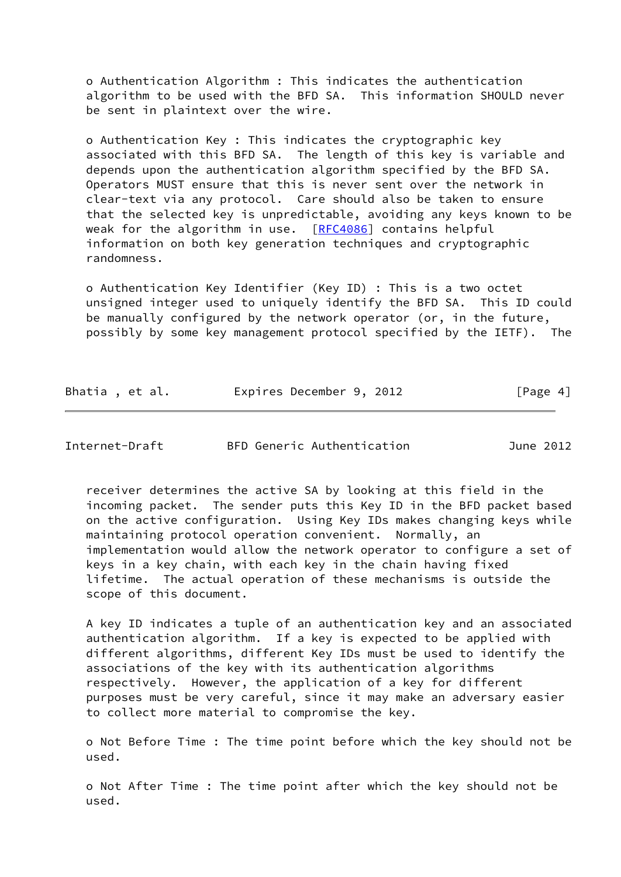o Authentication Algorithm : This indicates the authentication algorithm to be used with the BFD SA. This information SHOULD never be sent in plaintext over the wire.

 o Authentication Key : This indicates the cryptographic key associated with this BFD SA. The length of this key is variable and depends upon the authentication algorithm specified by the BFD SA. Operators MUST ensure that this is never sent over the network in clear-text via any protocol. Care should also be taken to ensure that the selected key is unpredictable, avoiding any keys known to be weak for the algorithm in use.  $[REC4086]$  contains helpful information on both key generation techniques and cryptographic randomness.

 o Authentication Key Identifier (Key ID) : This is a two octet unsigned integer used to uniquely identify the BFD SA. This ID could be manually configured by the network operator (or, in the future, possibly by some key management protocol specified by the IETF). The

| Bhatia, et al. | Expires December 9, 2012 | [Page 4] |
|----------------|--------------------------|----------|
|----------------|--------------------------|----------|

<span id="page-4-0"></span>Internet-Draft BFD Generic Authentication June 2012

 receiver determines the active SA by looking at this field in the incoming packet. The sender puts this Key ID in the BFD packet based on the active configuration. Using Key IDs makes changing keys while maintaining protocol operation convenient. Normally, an implementation would allow the network operator to configure a set of keys in a key chain, with each key in the chain having fixed lifetime. The actual operation of these mechanisms is outside the scope of this document.

 A key ID indicates a tuple of an authentication key and an associated authentication algorithm. If a key is expected to be applied with different algorithms, different Key IDs must be used to identify the associations of the key with its authentication algorithms respectively. However, the application of a key for different purposes must be very careful, since it may make an adversary easier to collect more material to compromise the key.

 o Not Before Time : The time point before which the key should not be used.

 o Not After Time : The time point after which the key should not be used.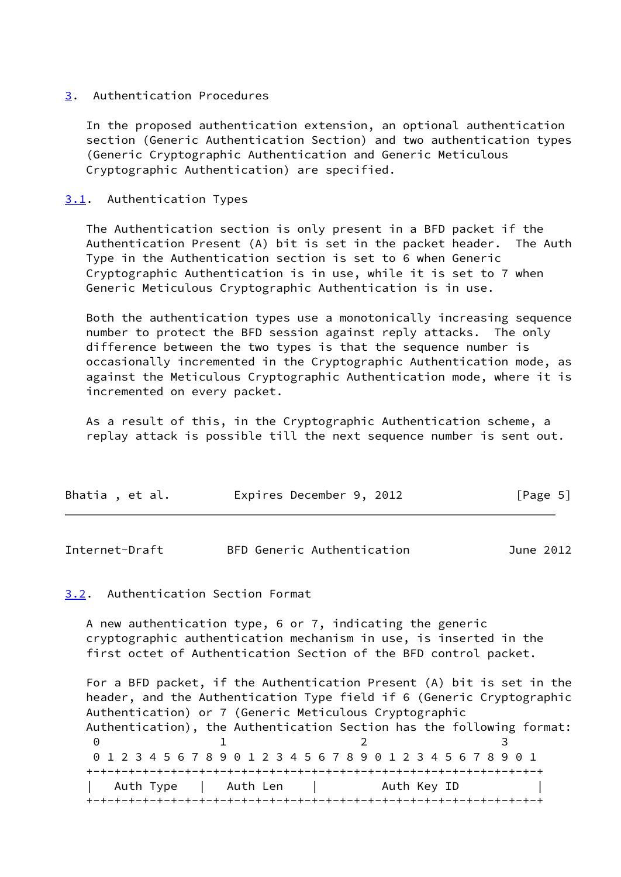## <span id="page-5-0"></span>[3](#page-5-0). Authentication Procedures

 In the proposed authentication extension, an optional authentication section (Generic Authentication Section) and two authentication types (Generic Cryptographic Authentication and Generic Meticulous Cryptographic Authentication) are specified.

# <span id="page-5-1"></span>[3.1](#page-5-1). Authentication Types

 The Authentication section is only present in a BFD packet if the Authentication Present (A) bit is set in the packet header. The Auth Type in the Authentication section is set to 6 when Generic Cryptographic Authentication is in use, while it is set to 7 when Generic Meticulous Cryptographic Authentication is in use.

 Both the authentication types use a monotonically increasing sequence number to protect the BFD session against reply attacks. The only difference between the two types is that the sequence number is occasionally incremented in the Cryptographic Authentication mode, as against the Meticulous Cryptographic Authentication mode, where it is incremented on every packet.

 As a result of this, in the Cryptographic Authentication scheme, a replay attack is possible till the next sequence number is sent out.

| Bhatia, et al. | Expires December 9, 2012 | [Page 5] |
|----------------|--------------------------|----------|
|                |                          |          |

<span id="page-5-3"></span>

| Internet-Draft |  | BFD Generic Authentication |  | June 2012 |
|----------------|--|----------------------------|--|-----------|
|----------------|--|----------------------------|--|-----------|

### <span id="page-5-2"></span>[3.2](#page-5-2). Authentication Section Format

 A new authentication type, 6 or 7, indicating the generic cryptographic authentication mechanism in use, is inserted in the first octet of Authentication Section of the BFD control packet.

 For a BFD packet, if the Authentication Present (A) bit is set in the header, and the Authentication Type field if 6 (Generic Cryptographic Authentication) or 7 (Generic Meticulous Cryptographic Authentication), the Authentication Section has the following format: 0 1 2 3 0 1 2 3 4 5 6 7 8 9 0 1 2 3 4 5 6 7 8 9 0 1 2 3 4 5 6 7 8 9 0 1 +-+-+-+-+-+-+-+-+-+-+-+-+-+-+-+-+-+-+-+-+-+-+-+-+-+-+-+-+-+-+-+-+ Auth Type | Auth Len | Auth Key ID +-+-+-+-+-+-+-+-+-+-+-+-+-+-+-+-+-+-+-+-+-+-+-+-+-+-+-+-+-+-+-+-+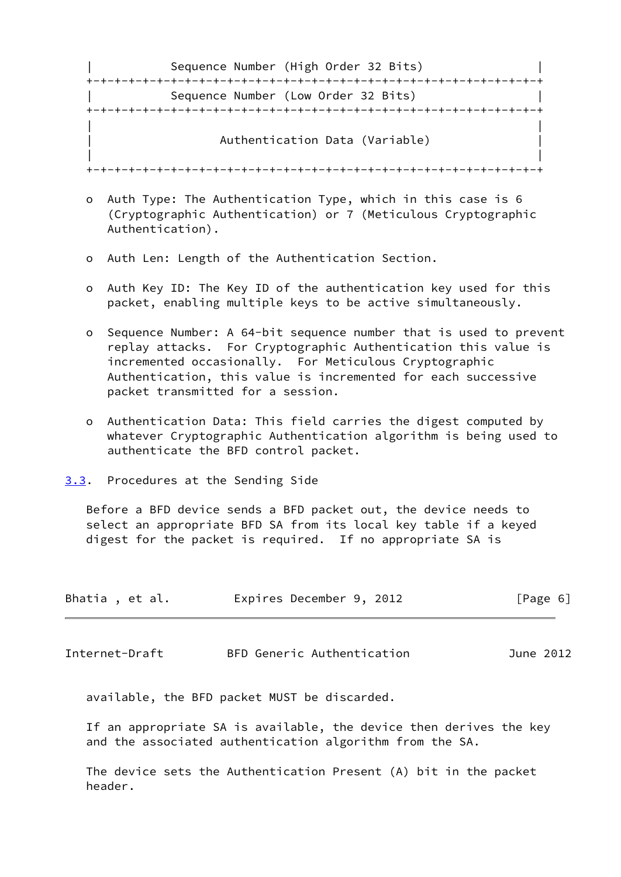| Sequence Number (High Order 32 Bits) |  |
|--------------------------------------|--|
|                                      |  |
| Sequence Number (Low Order 32 Bits)  |  |
|                                      |  |
| Authentication Data (Variable)       |  |
|                                      |  |

- o Auth Type: The Authentication Type, which in this case is 6 (Cryptographic Authentication) or 7 (Meticulous Cryptographic Authentication).
- o Auth Len: Length of the Authentication Section.
- o Auth Key ID: The Key ID of the authentication key used for this packet, enabling multiple keys to be active simultaneously.
- o Sequence Number: A 64-bit sequence number that is used to prevent replay attacks. For Cryptographic Authentication this value is incremented occasionally. For Meticulous Cryptographic Authentication, this value is incremented for each successive packet transmitted for a session.
- o Authentication Data: This field carries the digest computed by whatever Cryptographic Authentication algorithm is being used to authenticate the BFD control packet.
- <span id="page-6-0"></span>[3.3](#page-6-0). Procedures at the Sending Side

 Before a BFD device sends a BFD packet out, the device needs to select an appropriate BFD SA from its local key table if a keyed digest for the packet is required. If no appropriate SA is

| Bhatia, et al. |  | Expires December 9, 2012 |  | [Page 6] |  |
|----------------|--|--------------------------|--|----------|--|
|                |  |                          |  |          |  |

<span id="page-6-1"></span>Internet-Draft BFD Generic Authentication June 2012

available, the BFD packet MUST be discarded.

 If an appropriate SA is available, the device then derives the key and the associated authentication algorithm from the SA.

 The device sets the Authentication Present (A) bit in the packet header.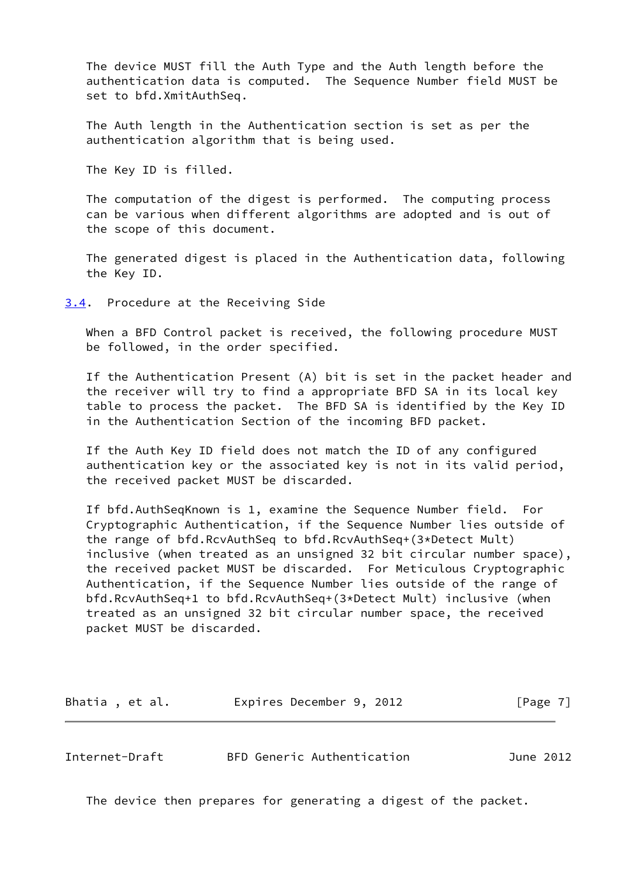The device MUST fill the Auth Type and the Auth length before the authentication data is computed. The Sequence Number field MUST be set to bfd.XmitAuthSeq.

 The Auth length in the Authentication section is set as per the authentication algorithm that is being used.

The Key ID is filled.

 The computation of the digest is performed. The computing process can be various when different algorithms are adopted and is out of the scope of this document.

 The generated digest is placed in the Authentication data, following the Key ID.

<span id="page-7-0"></span>[3.4](#page-7-0). Procedure at the Receiving Side

 When a BFD Control packet is received, the following procedure MUST be followed, in the order specified.

 If the Authentication Present (A) bit is set in the packet header and the receiver will try to find a appropriate BFD SA in its local key table to process the packet. The BFD SA is identified by the Key ID in the Authentication Section of the incoming BFD packet.

 If the Auth Key ID field does not match the ID of any configured authentication key or the associated key is not in its valid period, the received packet MUST be discarded.

 If bfd.AuthSeqKnown is 1, examine the Sequence Number field. For Cryptographic Authentication, if the Sequence Number lies outside of the range of bfd.RcvAuthSeq to bfd.RcvAuthSeq+(3\*Detect Mult) inclusive (when treated as an unsigned 32 bit circular number space), the received packet MUST be discarded. For Meticulous Cryptographic Authentication, if the Sequence Number lies outside of the range of bfd.RcvAuthSeq+1 to bfd.RcvAuthSeq+(3\*Detect Mult) inclusive (when treated as an unsigned 32 bit circular number space, the received packet MUST be discarded.

| Bhatia, et al. | Expires December 9, 2012 |  | [Page 7] |
|----------------|--------------------------|--|----------|
|----------------|--------------------------|--|----------|

<span id="page-7-1"></span>Internet-Draft BFD Generic Authentication June 2012

The device then prepares for generating a digest of the packet.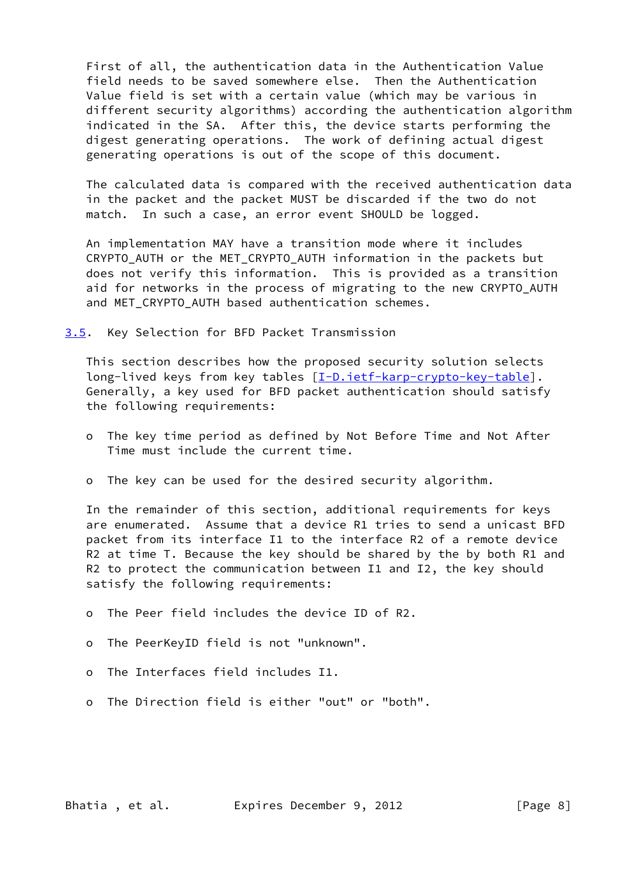First of all, the authentication data in the Authentication Value field needs to be saved somewhere else. Then the Authentication Value field is set with a certain value (which may be various in different security algorithms) according the authentication algorithm indicated in the SA. After this, the device starts performing the digest generating operations. The work of defining actual digest generating operations is out of the scope of this document.

 The calculated data is compared with the received authentication data in the packet and the packet MUST be discarded if the two do not match. In such a case, an error event SHOULD be logged.

 An implementation MAY have a transition mode where it includes CRYPTO\_AUTH or the MET\_CRYPTO\_AUTH information in the packets but does not verify this information. This is provided as a transition aid for networks in the process of migrating to the new CRYPTO AUTH and MET CRYPTO AUTH based authentication schemes.

<span id="page-8-0"></span>[3.5](#page-8-0). Key Selection for BFD Packet Transmission

 This section describes how the proposed security solution selects long-lived keys from key tables [\[I-D.ietf-karp-crypto-key-table](#page-11-7)]. Generally, a key used for BFD packet authentication should satisfy the following requirements:

- o The key time period as defined by Not Before Time and Not After Time must include the current time.
- o The key can be used for the desired security algorithm.

 In the remainder of this section, additional requirements for keys are enumerated. Assume that a device R1 tries to send a unicast BFD packet from its interface I1 to the interface R2 of a remote device R2 at time T. Because the key should be shared by the by both R1 and R2 to protect the communication between I1 and I2, the key should satisfy the following requirements:

- o The Peer field includes the device ID of R2.
- o The PeerKeyID field is not "unknown".
- o The Interfaces field includes I1.
- o The Direction field is either "out" or "both".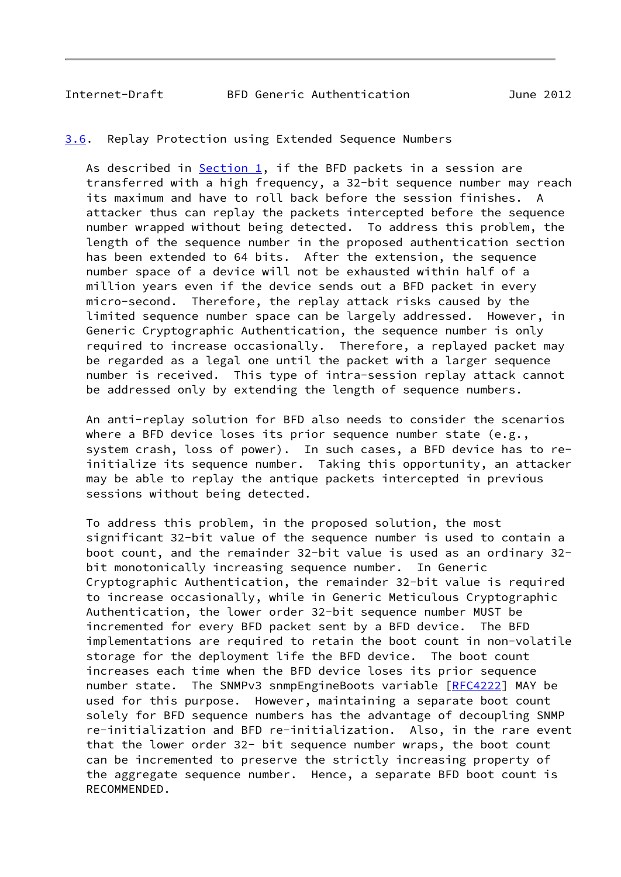### <span id="page-9-1"></span><span id="page-9-0"></span>[3.6](#page-9-0). Replay Protection using Extended Sequence Numbers

As described in [Section 1](#page-2-0), if the BFD packets in a session are transferred with a high frequency, a 32-bit sequence number may reach its maximum and have to roll back before the session finishes. A attacker thus can replay the packets intercepted before the sequence number wrapped without being detected. To address this problem, the length of the sequence number in the proposed authentication section has been extended to 64 bits. After the extension, the sequence number space of a device will not be exhausted within half of a million years even if the device sends out a BFD packet in every micro-second. Therefore, the replay attack risks caused by the limited sequence number space can be largely addressed. However, in Generic Cryptographic Authentication, the sequence number is only required to increase occasionally. Therefore, a replayed packet may be regarded as a legal one until the packet with a larger sequence number is received. This type of intra-session replay attack cannot be addressed only by extending the length of sequence numbers.

 An anti-replay solution for BFD also needs to consider the scenarios where a BFD device loses its prior sequence number state  $(e.g.,)$  system crash, loss of power). In such cases, a BFD device has to re initialize its sequence number. Taking this opportunity, an attacker may be able to replay the antique packets intercepted in previous sessions without being detected.

 To address this problem, in the proposed solution, the most significant 32-bit value of the sequence number is used to contain a boot count, and the remainder 32-bit value is used as an ordinary 32 bit monotonically increasing sequence number. In Generic Cryptographic Authentication, the remainder 32-bit value is required to increase occasionally, while in Generic Meticulous Cryptographic Authentication, the lower order 32-bit sequence number MUST be incremented for every BFD packet sent by a BFD device. The BFD implementations are required to retain the boot count in non-volatile storage for the deployment life the BFD device. The boot count increases each time when the BFD device loses its prior sequence number state. The SNMPv3 snmpEngineBoots variable [[RFC4222\]](https://datatracker.ietf.org/doc/pdf/rfc4222) MAY be used for this purpose. However, maintaining a separate boot count solely for BFD sequence numbers has the advantage of decoupling SNMP re-initialization and BFD re-initialization. Also, in the rare event that the lower order 32- bit sequence number wraps, the boot count can be incremented to preserve the strictly increasing property of the aggregate sequence number. Hence, a separate BFD boot count is RECOMMENDED.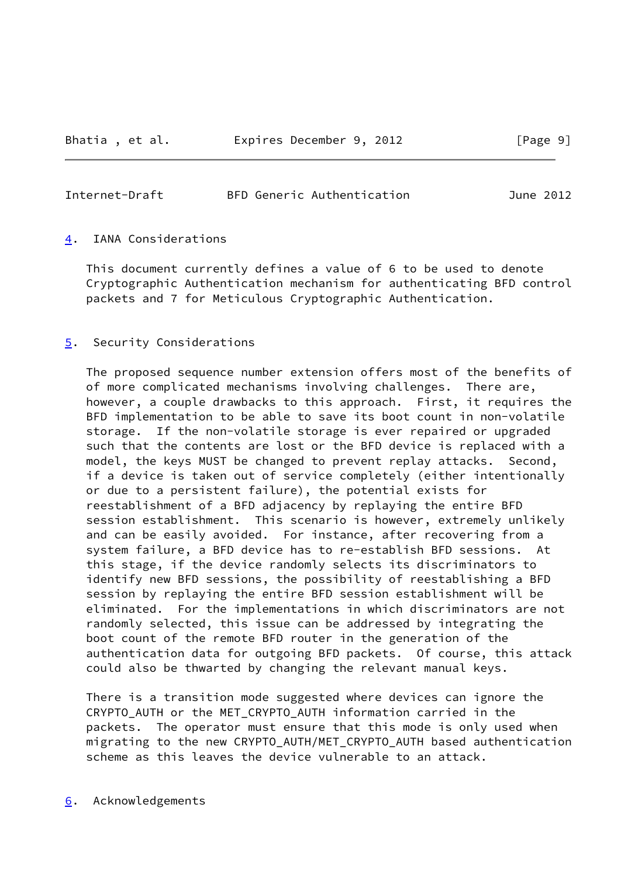### <span id="page-10-1"></span>Internet-Draft BFD Generic Authentication June 2012

### <span id="page-10-0"></span>[4](#page-10-0). IANA Considerations

 This document currently defines a value of 6 to be used to denote Cryptographic Authentication mechanism for authenticating BFD control packets and 7 for Meticulous Cryptographic Authentication.

### <span id="page-10-2"></span>[5](#page-10-2). Security Considerations

 The proposed sequence number extension offers most of the benefits of of more complicated mechanisms involving challenges. There are, however, a couple drawbacks to this approach. First, it requires the BFD implementation to be able to save its boot count in non-volatile storage. If the non-volatile storage is ever repaired or upgraded such that the contents are lost or the BFD device is replaced with a model, the keys MUST be changed to prevent replay attacks. Second, if a device is taken out of service completely (either intentionally or due to a persistent failure), the potential exists for reestablishment of a BFD adjacency by replaying the entire BFD session establishment. This scenario is however, extremely unlikely and can be easily avoided. For instance, after recovering from a system failure, a BFD device has to re-establish BFD sessions. At this stage, if the device randomly selects its discriminators to identify new BFD sessions, the possibility of reestablishing a BFD session by replaying the entire BFD session establishment will be eliminated. For the implementations in which discriminators are not randomly selected, this issue can be addressed by integrating the boot count of the remote BFD router in the generation of the authentication data for outgoing BFD packets. Of course, this attack could also be thwarted by changing the relevant manual keys.

 There is a transition mode suggested where devices can ignore the CRYPTO\_AUTH or the MET\_CRYPTO\_AUTH information carried in the packets. The operator must ensure that this mode is only used when migrating to the new CRYPTO\_AUTH/MET\_CRYPTO\_AUTH based authentication scheme as this leaves the device vulnerable to an attack.

### <span id="page-10-3"></span>[6](#page-10-3). Acknowledgements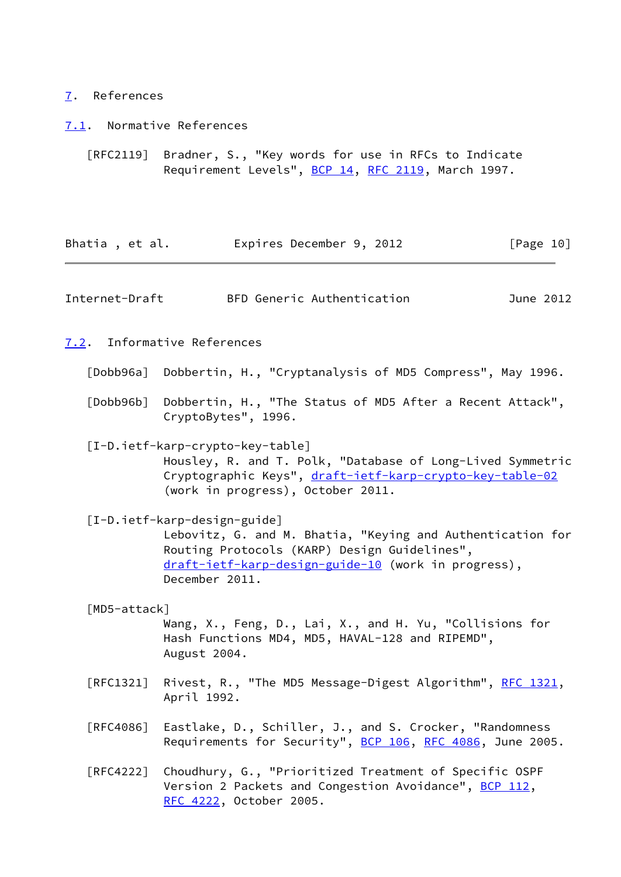# <span id="page-11-0"></span>[7](#page-11-0). References

<span id="page-11-1"></span>[7.1](#page-11-1). Normative References

 [RFC2119] Bradner, S., "Key words for use in RFCs to Indicate Requirement Levels", [BCP 14](https://datatracker.ietf.org/doc/pdf/bcp14), [RFC 2119](https://datatracker.ietf.org/doc/pdf/rfc2119), March 1997.

<span id="page-11-7"></span><span id="page-11-6"></span><span id="page-11-5"></span><span id="page-11-4"></span><span id="page-11-3"></span><span id="page-11-2"></span>

| Bhatia, et al. | Expires December 9, 2012                                                                                                                                                                                            | [Page 10] |
|----------------|---------------------------------------------------------------------------------------------------------------------------------------------------------------------------------------------------------------------|-----------|
| Internet-Draft | BFD Generic Authentication                                                                                                                                                                                          | June 2012 |
|                | 7.2. Informative References                                                                                                                                                                                         |           |
|                | [Dobb96a] Dobbertin, H., "Cryptanalysis of MD5 Compress", May 1996.                                                                                                                                                 |           |
|                | [Dobb96b] Dobbertin, H., "The Status of MD5 After a Recent Attack",<br>CryptoBytes", 1996.                                                                                                                          |           |
|                | [I-D.ietf-karp-crypto-key-table]<br>Housley, R. and T. Polk, "Database of Long-Lived Symmetric<br>Cryptographic Keys", draft-ietf-karp-crypto-key-table-02<br>(work in progress), October 2011.                     |           |
|                | [I-D.ietf-karp-design-guide]<br>Lebovitz, G. and M. Bhatia, "Keying and Authentication for<br>Routing Protocols (KARP) Design Guidelines",<br>draft-ietf-karp-design-guide-10 (work in progress),<br>December 2011. |           |
| [MD5-attack]   | Wang, X., Feng, D., Lai, X., and H. Yu, "Collisions for<br>Hash Functions MD4, MD5, HAVAL-128 and RIPEMD",<br>August 2004.                                                                                          |           |
| [RFC1321]      | Rivest, R., "The MD5 Message-Digest Algorithm", RFC 1321,<br>April 1992.                                                                                                                                            |           |
|                | [RFC4086] Eastlake, D., Schiller, J., and S. Crocker, "Randomness<br>Requirements for Security", BCP 106, RFC 4086, June 2005.                                                                                      |           |
|                | [RFC4222] Choudhury, G., "Prioritized Treatment of Specific OSPF<br>Version 2 Packets and Congestion Avoidance", BCP 112,<br>RFC 4222, October 2005.                                                                |           |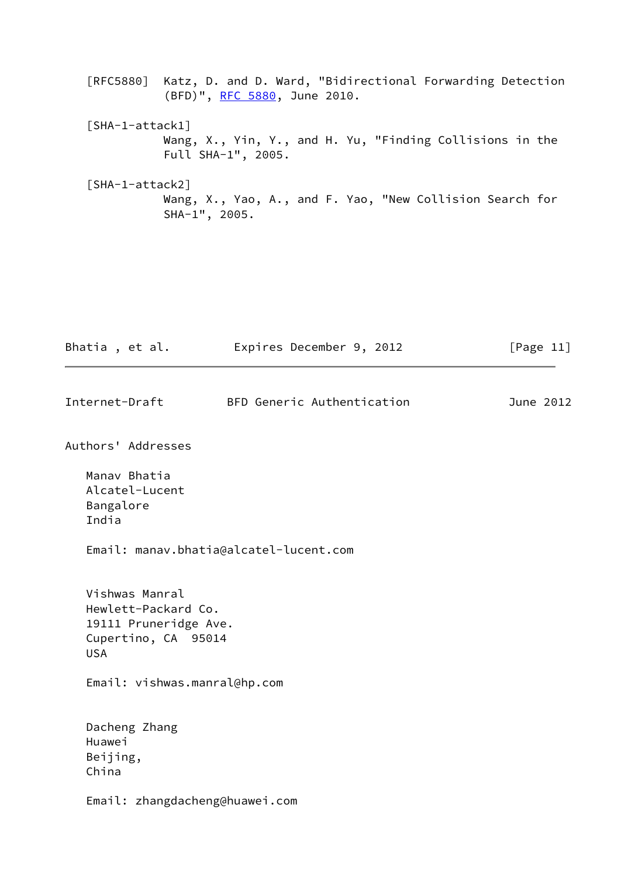- [RFC5880] Katz, D. and D. Ward, "Bidirectional Forwarding Detection (BFD)", [RFC 5880,](https://datatracker.ietf.org/doc/pdf/rfc5880) June 2010.
- <span id="page-12-0"></span> [SHA-1-attack1] Wang, X., Yin, Y., and H. Yu, "Finding Collisions in the Full SHA-1", 2005.
- <span id="page-12-1"></span> [SHA-1-attack2] Wang, X., Yao, A., and F. Yao, "New Collision Search for SHA-1", 2005.

| Bhatia, et al.              |                                                                                       | Expires December 9, 2012               | [Page $11$ ] |
|-----------------------------|---------------------------------------------------------------------------------------|----------------------------------------|--------------|
| Internet-Draft              |                                                                                       | BFD Generic Authentication             | June 2012    |
|                             | Authors' Addresses                                                                    |                                        |              |
| Bangalore<br>India          | Manav Bhatia<br>Alcatel-Lucent                                                        | Email: manav.bhatia@alcatel-lucent.com |              |
| <b>USA</b>                  | Vishwas Manral<br>Hewlett-Packard Co.<br>19111 Pruneridge Ave.<br>Cupertino, CA 95014 |                                        |              |
|                             | Email: vishwas.manral@hp.com                                                          |                                        |              |
| Huawei<br>Beijing,<br>China | Dacheng Zhang                                                                         |                                        |              |
|                             | Email: zhangdacheng@huawei.com                                                        |                                        |              |